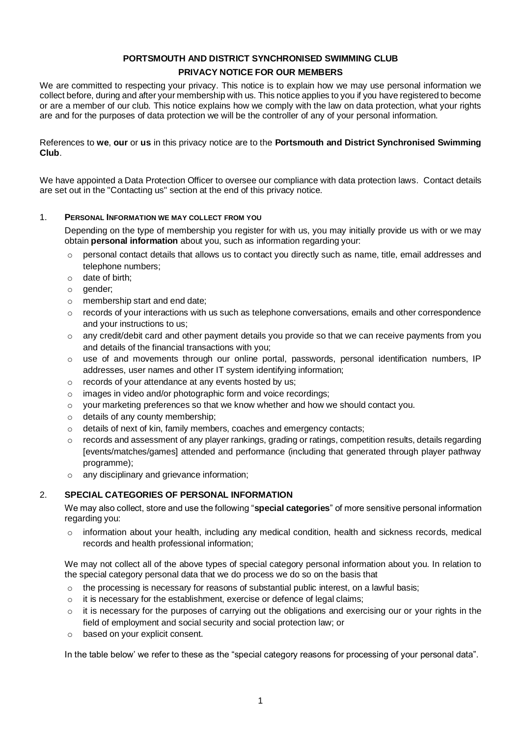# **PORTSMOUTH AND DISTRICT SYNCHRONISED SWIMMING CLUB**

# **PRIVACY NOTICE FOR OUR MEMBERS**

We are committed to respecting your privacy. This notice is to explain how we may use personal information we collect before, during and after your membership with us. This notice applies to you if you have registered to become or are a member of our club. This notice explains how we comply with the law on data protection, what your rights are and for the purposes of data protection we will be the controller of any of your personal information.

References to **we**, **our** or **us** in this privacy notice are to the **Portsmouth and District Synchronised Swimming Club**.

We have appointed a Data Protection Officer to oversee our compliance with data protection laws. Contact details are set out in the "Contacting us" section at the end of this privacy notice.

## 1. **PERSONAL INFORMATION WE MAY COLLECT FROM YOU**

Depending on the type of membership you register for with us, you may initially provide us with or we may obtain **personal information** about you, such as information regarding your:

- $\circ$  personal contact details that allows us to contact you directly such as name, title, email addresses and telephone numbers;
- o date of birth;
- o gender;
- o membership start and end date;
- $\circ$  records of your interactions with us such as telephone conversations, emails and other correspondence and your instructions to us;
- $\circ$  any credit/debit card and other payment details you provide so that we can receive payments from you and details of the financial transactions with you;
- $\circ$  use of and movements through our online portal, passwords, personal identification numbers, IP addresses, user names and other IT system identifying information;
- o records of your attendance at any events hosted by us;
- o images in video and/or photographic form and voice recordings;
- $\circ$  your marketing preferences so that we know whether and how we should contact you.
- o details of any county membership;
- o details of next of kin, family members, coaches and emergency contacts;
- $\circ$  records and assessment of any player rankings, grading or ratings, competition results, details regarding [events/matches/games] attended and performance (including that generated through player pathway programme);
- o any disciplinary and grievance information;

## 2. **SPECIAL CATEGORIES OF PERSONAL INFORMATION**

We may also collect, store and use the following "**special categories**" of more sensitive personal information regarding you:

 $\circ$  information about your health, including any medical condition, health and sickness records, medical records and health professional information;

We may not collect all of the above types of special category personal information about you. In relation to the special category personal data that we do process we do so on the basis that

- $\circ$  the processing is necessary for reasons of substantial public interest, on a lawful basis;
- $\circ$  it is necessary for the establishment, exercise or defence of legal claims;
- $\circ$  it is necessary for the purposes of carrying out the obligations and exercising our or your rights in the field of employment and social security and social protection law; or
- o based on your explicit consent.

In the table below' we refer to these as the "special category reasons for processing of your personal data".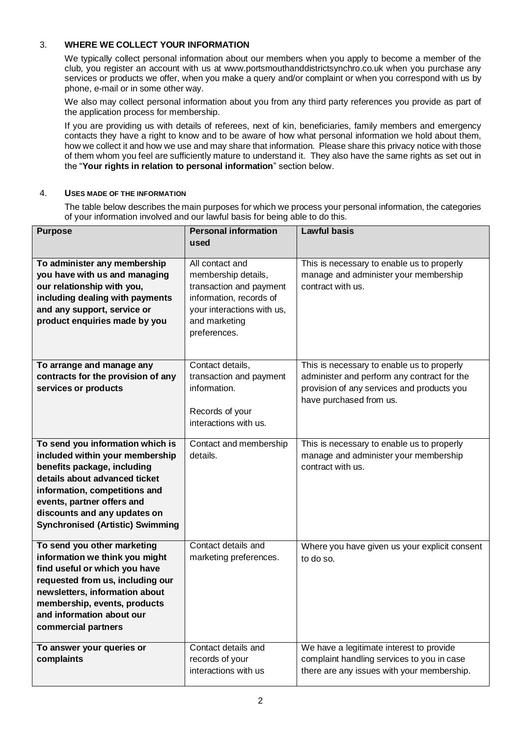# 3. **WHERE WE COLLECT YOUR INFORMATION**

We typically collect personal information about our members when you apply to become a member of the club, you register an account with us at www.portsmouthanddistrictsynchro.co.uk when you purchase any services or products we offer, when you make a query and/or complaint or when you correspond with us by phone, e-mail or in some other way.

We also may collect personal information about you from any third party references you provide as part of the application process for membership.

If you are providing us with details of referees, next of kin, beneficiaries, family members and emergency contacts they have a right to know and to be aware of how what personal information we hold about them, how we collect it and how we use and may share that information. Please share this privacy notice with those of them whom you feel are sufficiently mature to understand it. They also have the same rights as set out in the "**Your rights in relation to personal information**" section below.

#### 4. **USES MADE OF THE INFORMATION**

The table below describes the main purposes for which we process your personal information, the categories of your information involved and our lawful basis for being able to do this.

| <b>Purpose</b>                                                                                                                                                                                                                                                                | <b>Personal information</b>                                                                                                                                 | <b>Lawful basis</b>                                                                                                                                                |
|-------------------------------------------------------------------------------------------------------------------------------------------------------------------------------------------------------------------------------------------------------------------------------|-------------------------------------------------------------------------------------------------------------------------------------------------------------|--------------------------------------------------------------------------------------------------------------------------------------------------------------------|
|                                                                                                                                                                                                                                                                               | used                                                                                                                                                        |                                                                                                                                                                    |
| To administer any membership<br>you have with us and managing<br>our relationship with you,<br>including dealing with payments<br>and any support, service or<br>product enquiries made by you                                                                                | All contact and<br>membership details,<br>transaction and payment<br>information, records of<br>your interactions with us,<br>and marketing<br>preferences. | This is necessary to enable us to properly<br>manage and administer your membership<br>contract with us.                                                           |
| To arrange and manage any<br>contracts for the provision of any<br>services or products                                                                                                                                                                                       | Contact details,<br>transaction and payment<br>information.<br>Records of your<br>interactions with us.                                                     | This is necessary to enable us to properly<br>administer and perform any contract for the<br>provision of any services and products you<br>have purchased from us. |
| To send you information which is<br>included within your membership<br>benefits package, including<br>details about advanced ticket<br>information, competitions and<br>events, partner offers and<br>discounts and any updates on<br><b>Synchronised (Artistic) Swimming</b> | Contact and membership<br>details.                                                                                                                          | This is necessary to enable us to properly<br>manage and administer your membership<br>contract with us.                                                           |
| To send you other marketing<br>information we think you might<br>find useful or which you have<br>requested from us, including our<br>newsletters, information about<br>membership, events, products<br>and information about our<br>commercial partners                      | Contact details and<br>marketing preferences.                                                                                                               | Where you have given us your explicit consent<br>to do so.                                                                                                         |
| To answer your queries or<br>complaints                                                                                                                                                                                                                                       | Contact details and<br>records of your<br>interactions with us                                                                                              | We have a legitimate interest to provide<br>complaint handling services to you in case<br>there are any issues with your membership.                               |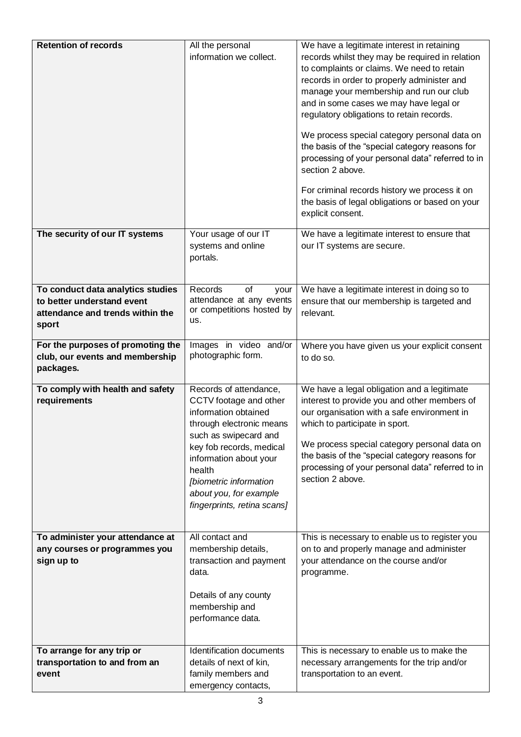| <b>Retention of records</b>                                                                                  | All the personal<br>information we collect.                                                                                                                                                                                                                                      | We have a legitimate interest in retaining<br>records whilst they may be required in relation<br>to complaints or claims. We need to retain<br>records in order to properly administer and<br>manage your membership and run our club<br>and in some cases we may have legal or<br>regulatory obligations to retain records.<br>We process special category personal data on<br>the basis of the "special category reasons for<br>processing of your personal data" referred to in<br>section 2 above.<br>For criminal records history we process it on<br>the basis of legal obligations or based on your<br>explicit consent. |
|--------------------------------------------------------------------------------------------------------------|----------------------------------------------------------------------------------------------------------------------------------------------------------------------------------------------------------------------------------------------------------------------------------|---------------------------------------------------------------------------------------------------------------------------------------------------------------------------------------------------------------------------------------------------------------------------------------------------------------------------------------------------------------------------------------------------------------------------------------------------------------------------------------------------------------------------------------------------------------------------------------------------------------------------------|
| The security of our IT systems                                                                               | Your usage of our IT<br>systems and online<br>portals.                                                                                                                                                                                                                           | We have a legitimate interest to ensure that<br>our IT systems are secure.                                                                                                                                                                                                                                                                                                                                                                                                                                                                                                                                                      |
| To conduct data analytics studies<br>to better understand event<br>attendance and trends within the<br>sport | Records<br>of<br>your<br>attendance at any events<br>or competitions hosted by<br>us.                                                                                                                                                                                            | We have a legitimate interest in doing so to<br>ensure that our membership is targeted and<br>relevant.                                                                                                                                                                                                                                                                                                                                                                                                                                                                                                                         |
| For the purposes of promoting the<br>club, our events and membership<br>packages.                            | Images in video and/or<br>photographic form.                                                                                                                                                                                                                                     | Where you have given us your explicit consent<br>to do so.                                                                                                                                                                                                                                                                                                                                                                                                                                                                                                                                                                      |
| To comply with health and safety<br>requirements                                                             | Records of attendance,<br>CCTV footage and other<br>information obtained<br>through electronic means<br>such as swipecard and<br>key fob records, medical<br>information about your<br>health<br>[biometric information<br>about you, for example<br>fingerprints, retina scans] | We have a legal obligation and a legitimate<br>interest to provide you and other members of<br>our organisation with a safe environment in<br>which to participate in sport.<br>We process special category personal data on<br>the basis of the "special category reasons for<br>processing of your personal data" referred to in<br>section 2 above.                                                                                                                                                                                                                                                                          |
| To administer your attendance at<br>any courses or programmes you<br>sign up to                              | All contact and<br>membership details,<br>transaction and payment<br>data.<br>Details of any county<br>membership and<br>performance data.                                                                                                                                       | This is necessary to enable us to register you<br>on to and properly manage and administer<br>your attendance on the course and/or<br>programme.                                                                                                                                                                                                                                                                                                                                                                                                                                                                                |
| To arrange for any trip or<br>transportation to and from an<br>event                                         | Identification documents<br>details of next of kin,<br>family members and<br>emergency contacts,                                                                                                                                                                                 | This is necessary to enable us to make the<br>necessary arrangements for the trip and/or<br>transportation to an event.                                                                                                                                                                                                                                                                                                                                                                                                                                                                                                         |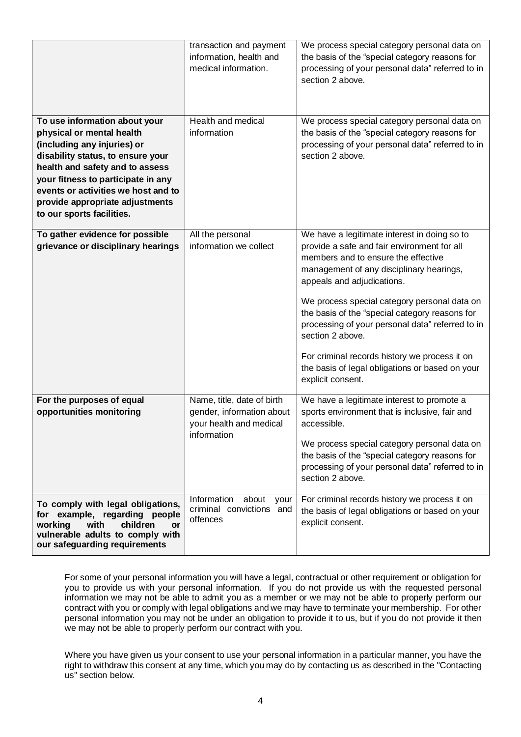| To use information about your<br>physical or mental health<br>(including any injuries) or                                                                                                                         | transaction and payment<br>information, health and<br>medical information.<br>Health and medical<br>information | We process special category personal data on<br>the basis of the "special category reasons for<br>processing of your personal data" referred to in<br>section 2 above.<br>We process special category personal data on<br>the basis of the "special category reasons for<br>processing of your personal data" referred to in                                                                                                                                                                                    |
|-------------------------------------------------------------------------------------------------------------------------------------------------------------------------------------------------------------------|-----------------------------------------------------------------------------------------------------------------|-----------------------------------------------------------------------------------------------------------------------------------------------------------------------------------------------------------------------------------------------------------------------------------------------------------------------------------------------------------------------------------------------------------------------------------------------------------------------------------------------------------------|
| disability status, to ensure your<br>health and safety and to assess<br>your fitness to participate in any<br>events or activities we host and to<br>provide appropriate adjustments<br>to our sports facilities. |                                                                                                                 | section 2 above.                                                                                                                                                                                                                                                                                                                                                                                                                                                                                                |
| To gather evidence for possible<br>grievance or disciplinary hearings                                                                                                                                             | All the personal<br>information we collect                                                                      | We have a legitimate interest in doing so to<br>provide a safe and fair environment for all<br>members and to ensure the effective<br>management of any disciplinary hearings,<br>appeals and adjudications.<br>We process special category personal data on<br>the basis of the "special category reasons for<br>processing of your personal data" referred to in<br>section 2 above.<br>For criminal records history we process it on<br>the basis of legal obligations or based on your<br>explicit consent. |
| For the purposes of equal<br>opportunities monitoring                                                                                                                                                             | Name, title, date of birth<br>gender, information about<br>your health and medical<br>information               | We have a legitimate interest to promote a<br>sports environment that is inclusive, fair and<br>accessible.<br>We process special category personal data on<br>the basis of the "special category reasons for<br>processing of your personal data" referred to in<br>section 2 above.                                                                                                                                                                                                                           |
| To comply with legal obligations,<br>for example, regarding people<br>with<br>children<br>working<br><b>or</b><br>vulnerable adults to comply with<br>our safeguarding requirements                               | Information<br>about<br>your<br>criminal convictions and<br>offences                                            | For criminal records history we process it on<br>the basis of legal obligations or based on your<br>explicit consent.                                                                                                                                                                                                                                                                                                                                                                                           |

For some of your personal information you will have a legal, contractual or other requirement or obligation for you to provide us with your personal information. If you do not provide us with the requested personal information we may not be able to admit you as a member or we may not be able to properly perform our contract with you or comply with legal obligations and we may have to terminate your membership. For other personal information you may not be under an obligation to provide it to us, but if you do not provide it then we may not be able to properly perform our contract with you.

Where you have given us your consent to use your personal information in a particular manner, you have the right to withdraw this consent at any time, which you may do by contacting us as described in the "Contacting us" section below.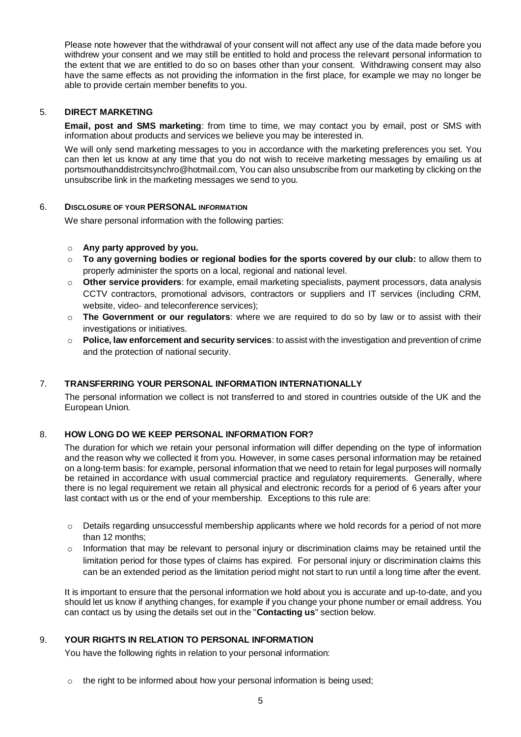Please note however that the withdrawal of your consent will not affect any use of the data made before you withdrew your consent and we may still be entitled to hold and process the relevant personal information to the extent that we are entitled to do so on bases other than your consent. Withdrawing consent may also have the same effects as not providing the information in the first place, for example we may no longer be able to provide certain member benefits to you.

## 5. **DIRECT MARKETING**

**Email, post and SMS marketing**: from time to time, we may contact you by email, post or SMS with information about products and services we believe you may be interested in.

We will only send marketing messages to you in accordance with the marketing preferences you set. You can then let us know at any time that you do not wish to receive marketing messages by emailing us at portsmouthanddistrcitsynchro@hotmail.com, You can also unsubscribe from our marketing by clicking on the unsubscribe link in the marketing messages we send to you.

## 6. **DISCLOSURE OF YOUR PERSONAL INFORMATION**

We share personal information with the following parties:

- o **Any party approved by you.**
- o **To any governing bodies or regional bodies for the sports covered by our club:** to allow them to properly administer the sports on a local, regional and national level.
- o **Other service providers**: for example, email marketing specialists, payment processors, data analysis CCTV contractors, promotional advisors, contractors or suppliers and IT services (including CRM, website, video- and teleconference services);
- o **The Government or our regulators**: where we are required to do so by law or to assist with their investigations or initiatives.
- o **Police, law enforcement and security services**: to assist with the investigation and prevention of crime and the protection of national security.

#### 7. **TRANSFERRING YOUR PERSONAL INFORMATION INTERNATIONALLY**

The personal information we collect is not transferred to and stored in countries outside of the UK and the European Union.

#### 8. **HOW LONG DO WE KEEP PERSONAL INFORMATION FOR?**

The duration for which we retain your personal information will differ depending on the type of information and the reason why we collected it from you. However, in some cases personal information may be retained on a long-term basis: for example, personal information that we need to retain for legal purposes will normally be retained in accordance with usual commercial practice and regulatory requirements. Generally, where there is no legal requirement we retain all physical and electronic records for a period of 6 years after your last contact with us or the end of your membership. Exceptions to this rule are:

- $\circ$  Details regarding unsuccessful membership applicants where we hold records for a period of not more than 12 months;
- $\circ$  Information that may be relevant to personal injury or discrimination claims may be retained until the limitation period for those types of claims has expired. For personal injury or discrimination claims this can be an extended period as the limitation period might not start to run until a long time after the event.

It is important to ensure that the personal information we hold about you is accurate and up-to-date, and you should let us know if anything changes, for example if you change your phone number or email address. You can contact us by using the details set out in the "**Contacting us**" section below.

### 9. **YOUR RIGHTS IN RELATION TO PERSONAL INFORMATION**

You have the following rights in relation to your personal information:

 $\circ$  the right to be informed about how your personal information is being used: